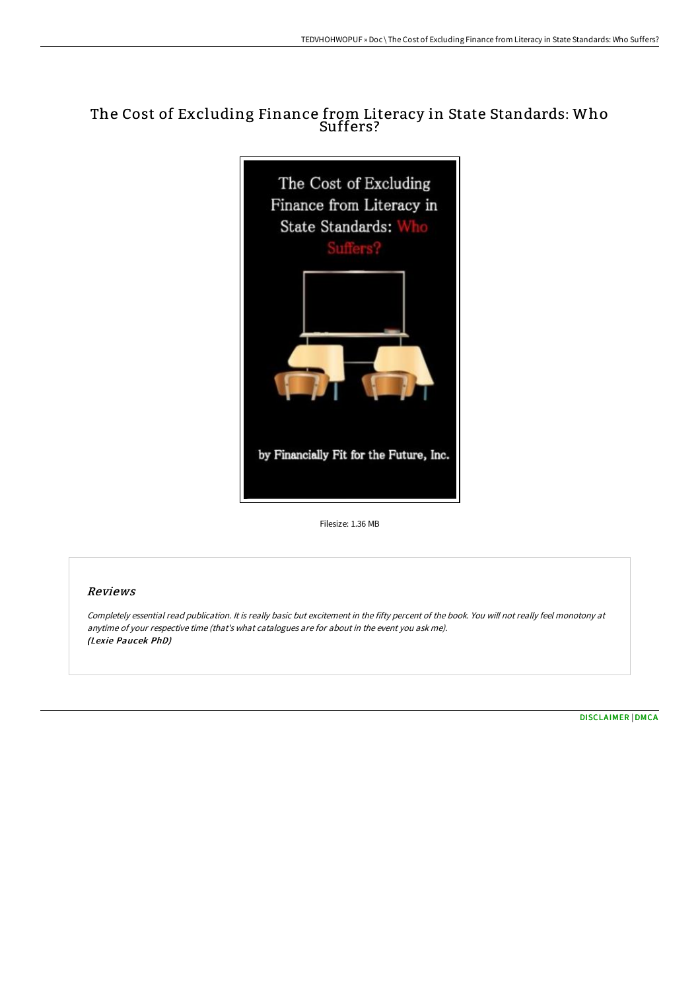## The Cost of Excluding Finance from Literacy in State Standards: Who Suffers?



Filesize: 1.36 MB

### Reviews

Completely essential read publication. It is really basic but excitement in the fifty percent of the book. You will not really feel monotony at anytime of your respective time (that's what catalogues are for about in the event you ask me). (Lexie Paucek PhD)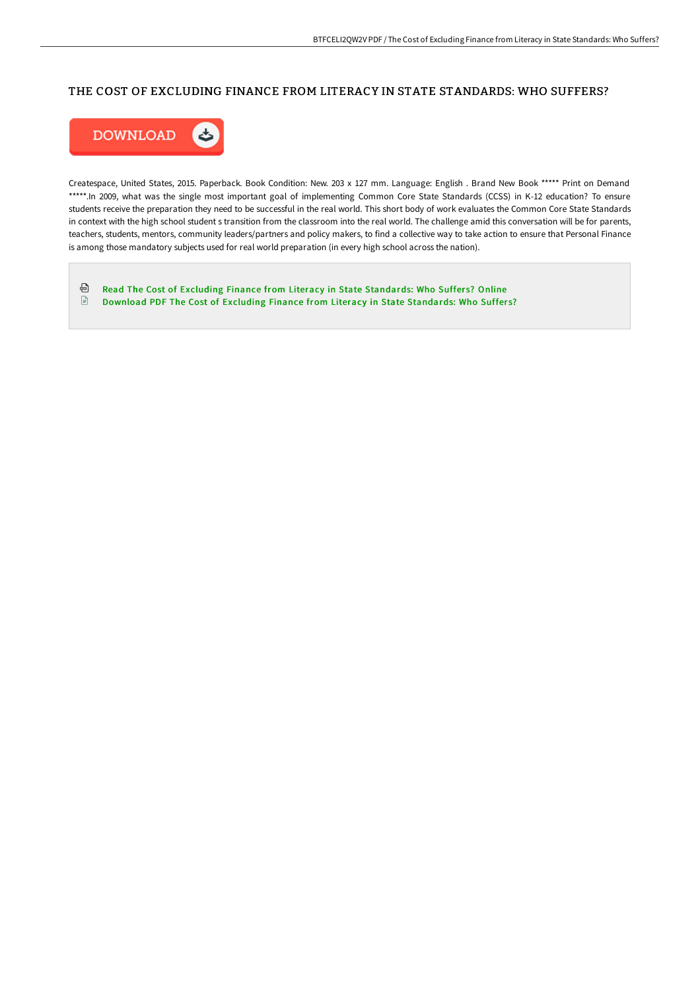## THE COST OF EXCLUDING FINANCE FROM LITERACY IN STATE STANDARDS: WHO SUFFERS?



Createspace, United States, 2015. Paperback. Book Condition: New. 203 x 127 mm. Language: English . Brand New Book \*\*\*\*\* Print on Demand \*\*\*\*\*.In 2009, what was the single most important goal of implementing Common Core State Standards (CCSS) in K-12 education? To ensure students receive the preparation they need to be successful in the real world. This short body of work evaluates the Common Core State Standards in context with the high school student s transition from the classroom into the real world. The challenge amid this conversation will be for parents, teachers, students, mentors, community leaders/partners and policy makers, to find a collective way to take action to ensure that Personal Finance is among those mandatory subjects used for real world preparation (in every high school across the nation).

⊕ Read The Cost of Excluding Finance from Literacy in State [Standards:](http://digilib.live/the-cost-of-excluding-finance-from-literacy-in-s.html) Who Suffers? Online  $\mathbf{E}$ Download PDF The Cost of Excluding Finance from Literacy in State [Standards:](http://digilib.live/the-cost-of-excluding-finance-from-literacy-in-s.html) Who Suffers?